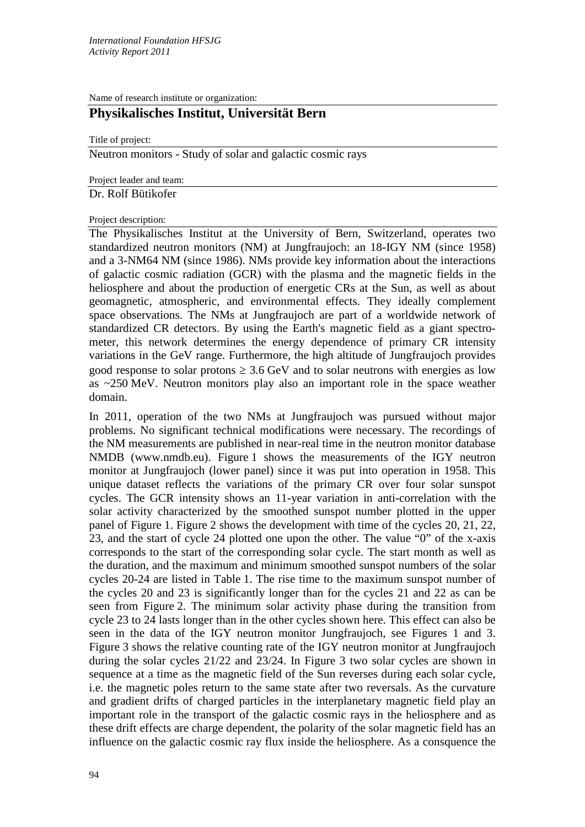Name of research institute or organization:

# **Physikalisches Institut, Universität Bern**

Title of project:

Neutron monitors - Study of solar and galactic cosmic rays

Project leader and team:

Dr. Rolf Bütikofer

### Project description:

The Physikalisches Institut at the University of Bern, Switzerland, operates two standardized neutron monitors (NM) at Jungfraujoch: an 18-IGY NM (since 1958) and a 3-NM64 NM (since 1986). NMs provide key information about the interactions of galactic cosmic radiation (GCR) with the plasma and the magnetic fields in the heliosphere and about the production of energetic CRs at the Sun, as well as about geomagnetic, atmospheric, and environmental effects. They ideally complement space observations. The NMs at Jungfraujoch are part of a worldwide network of standardized CR detectors. By using the Earth's magnetic field as a giant spectrometer, this network determines the energy dependence of primary CR intensity variations in the GeV range. Furthermore, the high altitude of Jungfraujoch provides good response to solar protons  $\geq 3.6$  GeV and to solar neutrons with energies as low as ~250 MeV. Neutron monitors play also an important role in the space weather domain.

In 2011, operation of the two NMs at Jungfraujoch was pursued without major problems. No significant technical modifications were necessary. The recordings of the NM measurements are published in near-real time in the neutron monitor database NMDB (www.nmdb.eu). Figure 1 shows the measurements of the IGY neutron monitor at Jungfraujoch (lower panel) since it was put into operation in 1958. This unique dataset reflects the variations of the primary CR over four solar sunspot cycles. The GCR intensity shows an 11-year variation in anti-correlation with the solar activity characterized by the smoothed sunspot number plotted in the upper panel of Figure 1. Figure 2 shows the development with time of the cycles 20, 21, 22, 23, and the start of cycle 24 plotted one upon the other. The value "0" of the x-axis corresponds to the start of the corresponding solar cycle. The start month as well as the duration, and the maximum and minimum smoothed sunspot numbers of the solar cycles 20-24 are listed in Table 1. The rise time to the maximum sunspot number of the cycles 20 and 23 is significantly longer than for the cycles 21 and 22 as can be seen from Figure 2. The minimum solar activity phase during the transition from cycle 23 to 24 lasts longer than in the other cycles shown here. This effect can also be seen in the data of the IGY neutron monitor Jungfraujoch, see Figures 1 and 3. Figure 3 shows the relative counting rate of the IGY neutron monitor at Jungfraujoch during the solar cycles 21/22 and 23/24. In Figure 3 two solar cycles are shown in sequence at a time as the magnetic field of the Sun reverses during each solar cycle, i.e. the magnetic poles return to the same state after two reversals. As the curvature and gradient drifts of charged particles in the interplanetary magnetic field play an important role in the transport of the galactic cosmic rays in the heliosphere and as these drift effects are charge dependent, the polarity of the solar magnetic field has an influence on the galactic cosmic ray flux inside the heliosphere. As a consquence the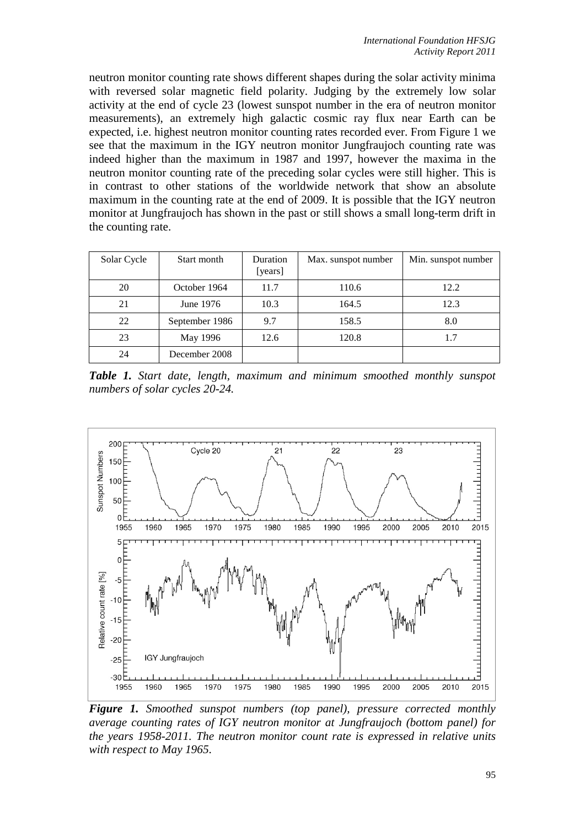neutron monitor counting rate shows different shapes during the solar activity minima with reversed solar magnetic field polarity. Judging by the extremely low solar activity at the end of cycle 23 (lowest sunspot number in the era of neutron monitor measurements), an extremely high galactic cosmic ray flux near Earth can be expected, i.e. highest neutron monitor counting rates recorded ever. From Figure 1 we see that the maximum in the IGY neutron monitor Jungfraujoch counting rate was indeed higher than the maximum in 1987 and 1997, however the maxima in the neutron monitor counting rate of the preceding solar cycles were still higher. This is in contrast to other stations of the worldwide network that show an absolute maximum in the counting rate at the end of 2009. It is possible that the IGY neutron monitor at Jungfraujoch has shown in the past or still shows a small long-term drift in the counting rate.

| Solar Cycle | Start month    | <b>Duration</b><br>[years] | Max. sunspot number | Min. sunspot number |
|-------------|----------------|----------------------------|---------------------|---------------------|
| 20          | October 1964   | 11.7                       | 110.6               | 12.2                |
| 21          | June 1976      | 10.3                       | 164.5               | 12.3                |
| 22          | September 1986 | 9.7                        | 158.5               | 8.0                 |
| 23          | May 1996       | 12.6                       | 120.8               | 1.7                 |
| 24          | December 2008  |                            |                     |                     |

*Table 1. Start date, length, maximum and minimum smoothed monthly sunspot numbers of solar cycles 20-24.*



*Figure 1. Smoothed sunspot numbers (top panel), pressure corrected monthly average counting rates of IGY neutron monitor at Jungfraujoch (bottom panel) for the years 1958-2011. The neutron monitor count rate is expressed in relative units with respect to May 1965.*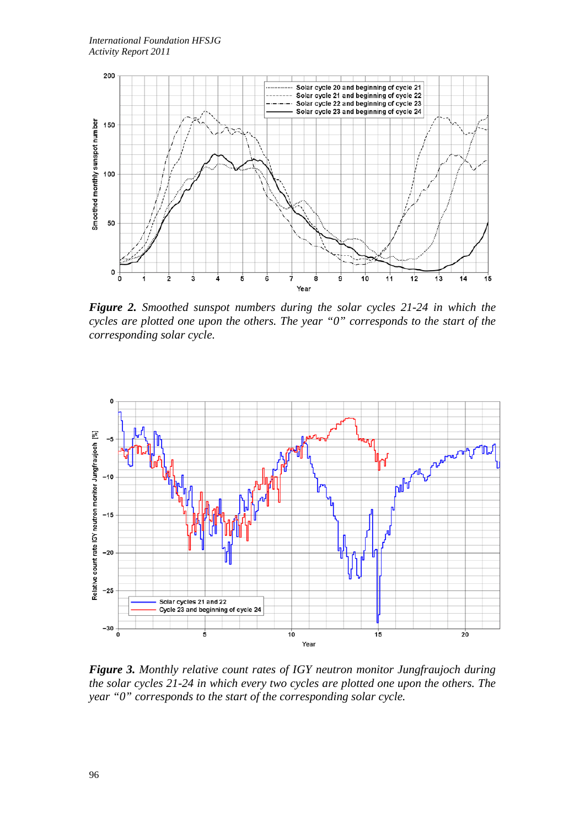

*Figure 2. Smoothed sunspot numbers during the solar cycles 21-24 in which the cycles are plotted one upon the others. The year "0" corresponds to the start of the corresponding solar cycle.*



*Figure 3. Monthly relative count rates of IGY neutron monitor Jungfraujoch during the solar cycles 21-24 in which every two cycles are plotted one upon the others. The year "0" corresponds to the start of the corresponding solar cycle.*